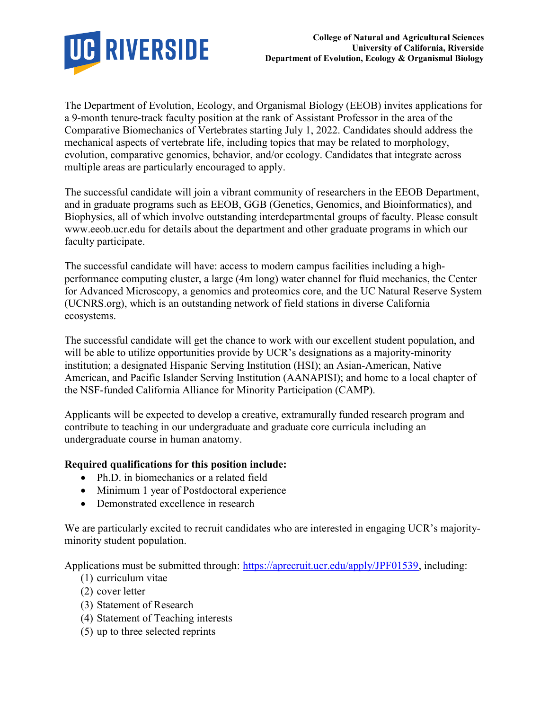

The Department of Evolution, Ecology, and Organismal Biology (EEOB) invites applications for a 9-month tenure-track faculty position at the rank of Assistant Professor in the area of the Comparative Biomechanics of Vertebrates starting July 1, 2022. Candidates should address the mechanical aspects of vertebrate life, including topics that may be related to morphology, evolution, comparative genomics, behavior, and/or ecology. Candidates that integrate across multiple areas are particularly encouraged to apply.

The successful candidate will join a vibrant community of researchers in the EEOB Department, and in graduate programs such as EEOB, GGB (Genetics, Genomics, and Bioinformatics), and Biophysics, all of which involve outstanding interdepartmental groups of faculty. Please consult www.eeob.ucr.edu for details about the department and other graduate programs in which our faculty participate.

The successful candidate will have: access to modern campus facilities including a highperformance computing cluster, a large (4m long) water channel for fluid mechanics, the Center for Advanced Microscopy, a genomics and proteomics core, and the UC Natural Reserve System (UCNRS.org), which is an outstanding network of field stations in diverse California ecosystems.

The successful candidate will get the chance to work with our excellent student population, and will be able to utilize opportunities provide by UCR's designations as a majority-minority institution; a designated Hispanic Serving Institution (HSI); an Asian-American, Native American, and Pacific Islander Serving Institution (AANAPISI); and home to a local chapter of the NSF-funded California Alliance for Minority Participation (CAMP).

Applicants will be expected to develop a creative, extramurally funded research program and contribute to teaching in our undergraduate and graduate core curricula including an undergraduate course in human anatomy.

## Required qualifications for this position include:

- Ph.D. in biomechanics or a related field
- Minimum 1 year of Postdoctoral experience
- Demonstrated excellence in research

We are particularly excited to recruit candidates who are interested in engaging UCR's majorityminority student population.

Applications must be submitted through: https://aprecruit.ucr.edu/apply/JPF01539, including:

- (1) curriculum vitae
- (2) cover letter
- (3) Statement of Research
- (4) Statement of Teaching interests
- (5) up to three selected reprints